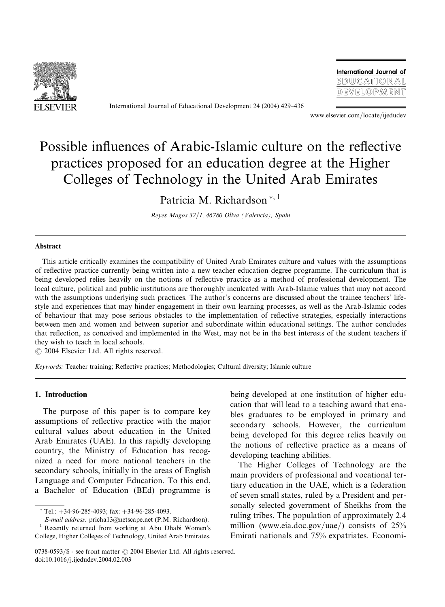

International Journal of Educational Development 24 (2004) 429–436

International Journal of EDUCATIONAL DEVELOPMENT

www.elsevier.com/locate/ijedudev

## Possible influences of Arabic-Islamic culture on the reflective practices proposed for an education degree at the Higher Colleges of Technology in the United Arab Emirates

Patricia M. Richardson<sup>\*, 1</sup>

Reyes Magos 32/1, 46780 Oliva (Valencia), Spain

## Abstract

This article critically examines the compatibility of United Arab Emirates culture and values with the assumptions of reflective practice currently being written into a new teacher education degree programme. The curriculum that is being developed relies heavily on the notions of reflective practice as a method of professional development. The local culture, political and public institutions are thoroughly inculcated with Arab-Islamic values that may not accord with the assumptions underlying such practices. The author's concerns are discussed about the trainee teachers' lifestyle and experiences that may hinder engagement in their own learning processes, as well as the Arab-Islamic codes of behaviour that may pose serious obstacles to the implementation of reflective strategies, especially interactions between men and women and between superior and subordinate within educational settings. The author concludes that reflection, as conceived and implemented in the West, may not be in the best interests of the student teachers if they wish to teach in local schools.

 $\odot$  2004 Elsevier Ltd. All rights reserved.

Keywords: Teacher training; Reflective practices; Methodologies; Cultural diversity; Islamic culture

## 1. Introduction

The purpose of this paper is to compare key assumptions of reflective practice with the major cultural values about education in the United Arab Emirates (UAE). In this rapidly developing country, the Ministry of Education has recognized a need for more national teachers in the secondary schools, initially in the areas of English Language and Computer Education. To this end, a Bachelor of Education (BEd) programme is

 $T$ el.:  $+34-96-285-4093$ : fax:  $+34-96-285-4093$ .

E-mail address: pricha13@netscape.net (P.M. Richardson).

<sup>1</sup> Recently returned from working at Abu Dhabi Women's College, Higher Colleges of Technology, United Arab Emirates.

being developed at one institution of higher education that will lead to a teaching award that enables graduates to be employed in primary and secondary schools. However, the curriculum being developed for this degree relies heavily on the notions of reflective practice as a means of developing teaching abilities.

The Higher Colleges of Technology are the main providers of professional and vocational tertiary education in the UAE, which is a federation of seven small states, ruled by a President and personally selected government of Sheikhs from the ruling tribes. The population of approximately 2.4 million (www.eia.doc.gov/uae/) consists of 25% Emirati nationals and 75% expatriates. Economi-

 $0738-0593/\$  - see front matter  $\odot$  2004 Elsevier Ltd. All rights reserved. doi:10.1016/j.ijedudev.2004.02.003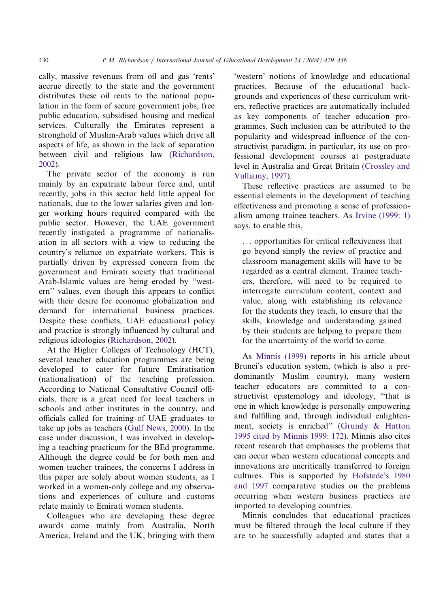cally, massive revenues from oil and gas 'rents' accrue directly to the state and the government distributes these oil rents to the national population in the form of secure government jobs, free public education, subsidised housing and medical services. Culturally the Emirates represent a stronghold of Muslim-Arab values which drive all aspects of life, as shown in the lack of separation between civil and religious law [\(Richardson,](#page--1-0) [2002](#page--1-0)).

The private sector of the economy is run mainly by an expatriate labour force and, until recently, jobs in this sector held little appeal for nationals, due to the lower salaries given and longer working hours required compared with the public sector. However, the UAE government recently instigated a programme of nationalisation in all sectors with a view to reducing the country's reliance on expatriate workers. This is partially driven by expressed concern from the government and Emirati society that traditional Arab-Islamic values are being eroded by ''western'' values, even though this appears to conflict with their desire for economic globalization and demand for international business practices. Despite these conflicts, UAE educational policy and practice is strongly influenced by cultural and religious ideologies [\(Richardson, 2002](#page--1-0)).

At the Higher Colleges of Technology (HCT), several teacher education programmes are being developed to cater for future Emiratisation (nationalisation) of the teaching profession. According to National Consultative Council officials, there is a great need for local teachers in schools and other institutes in the country, and officials called for training of UAE graduates to take up jobs as teachers ([Gulf News, 2000](#page--1-0)). In the case under discussion, I was involved in developing a teaching practicum for the BEd programme. Although the degree could be for both men and women teacher trainees, the concerns I address in this paper are solely about women students, as I worked in a women-only college and my observations and experiences of culture and customs relate mainly to Emirati women students.

Colleagues who are developing these degree awards come mainly from Australia, North America, Ireland and the UK, bringing with them

'western' notions of knowledge and educational practices. Because of the educational backgrounds and experiences of these curriculum writers, reflective practices are automatically included as key components of teacher education programmes. Such inclusion can be attributed to the popularity and widespread influence of the constructivist paradigm, in particular, its use on professional development courses at postgraduate level in Australia and Great Britain [\(Crossley and](#page--1-0) [Vulliamy, 1997](#page--1-0)).

These reflective practices are assumed to be essential elements in the development of teaching effectiveness and promoting a sense of professionalism among trainee teachers. As [Irvine \(1999: 1\)](#page--1-0) says, to enable this,

... opportunities for critical reflexiveness that go beyond simply the review of practice and classroom management skills will have to be regarded as a central element. Trainee teachers, therefore, will need to be required to interrogate curriculum content, context and value, along with establishing its relevance for the students they teach, to ensure that the skills, knowledge and understanding gained by their students are helping to prepare them for the uncertainty of the world to come.

As [Minnis \(1999\)](#page--1-0) reports in his article about Brunei's education system, (which is also a predominantly Muslim country), many western teacher educators are committed to a constructivist epistemology and ideology, ''that is one in which knowledge is personally empowering and fulfilling and, through individual enlightenment, society is enriched'' ([Grundy & Hatton](#page--1-0) [1995 cited by Minnis 1999: 172\)](#page--1-0). Minnis also cites recent research that emphasises the problems that can occur when western educational concepts and innovations are uncritically transferred to foreign cultures. This is supported by [Hofstede's 1980](#page--1-0) [and 1997](#page--1-0) comparative studies on the problems occurring when western business practices are imported to developing countries.

Minnis concludes that educational practices must be filtered through the local culture if they are to be successfully adapted and states that a